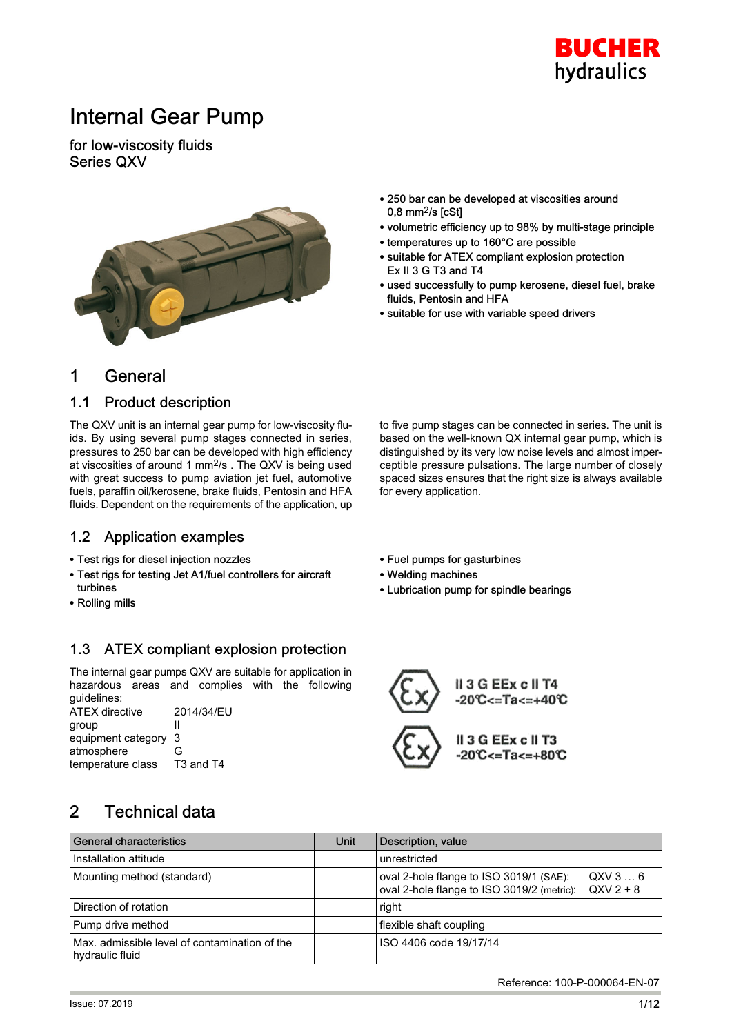

## Internal Gear Pump

for low-viscosity fluids Series QXV



- 250 bar can be developed at viscosities around  $0.8$  mm $^2$ /s [cSt]
- volumetric efficiency up to 98% by multi-stage principle
- temperatures up to 160°C are possible
- suitable for ATEX compliant explosion protection Ex II 3 G T3 and T4
- used successfully to pump kerosene, diesel fuel, brake fluids, Pentosin and HFA

to five pump stages can be connected in series. The unit is based on the well-known QX internal gear pump, which is distinguished by its very low noise levels and almost imperceptible pressure pulsations. The large number of closely spaced sizes ensures that the right size is always available

- suitable for use with variable speed drivers

## 1 General

#### 1.1 Product description

The QXV unit is an internal gear pump for low-viscosity fluids. By using several pump stages connected in series, pressures to 250 bar can be developed with high efficiency at viscosities of around 1 mm2/s . The QXV is being used with great success to pump aviation jet fuel, automotive fuels, paraffin oil/kerosene, brake fluids, Pentosin and HFA fluids. Dependent on the requirements of the application, up

#### 1.2 Application examples

- Test rigs for diesel injection nozzles
- Test rigs for testing Jet A1/fuel controllers for aircraft turbines
- Rolling mills

## 1.3 ATEX compliant explosion protection

The internal gear pumps QXV are suitable for application in hazardous areas and complies with the following guidelines:

ATEX directive 2014/34/EU group II equipment category 3 atmosphere G temperature class T3 and T4

- Fuel pumps for gasturbines
- Welding machines

for every application.

- Lubrication pump for spindle bearings



II 3 G EEx c II T3

## 2 Technical data

| <b>General characteristics</b>                                   | Unit | Description, value                                                                                         |
|------------------------------------------------------------------|------|------------------------------------------------------------------------------------------------------------|
| Installation attitude                                            |      | unrestricted                                                                                               |
| Mounting method (standard)                                       |      | oval 2-hole flange to ISO 3019/1 (SAE):<br>QXV36<br>oval 2-hole flange to ISO 3019/2 (metric): $QXV 2 + 8$ |
| Direction of rotation                                            |      | right                                                                                                      |
| Pump drive method                                                |      | flexible shaft coupling                                                                                    |
| Max, admissible level of contamination of the<br>hydraulic fluid |      | ISO 4406 code 19/17/14                                                                                     |

Reference: 100-P-000064-EN-07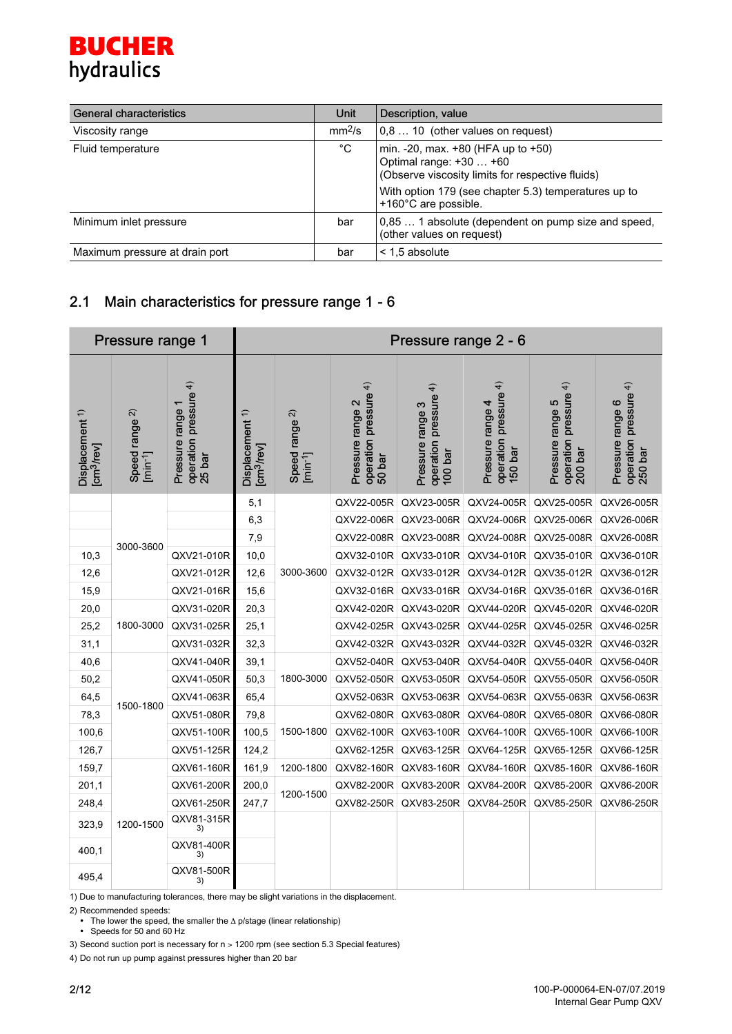## **BUCHER** hydraulics

| <b>General characteristics</b> | Unit               | Description, value                                                                                                                                                                |
|--------------------------------|--------------------|-----------------------------------------------------------------------------------------------------------------------------------------------------------------------------------|
| Viscosity range                | mm <sup>2</sup> /s | 0,8  10 (other values on request)                                                                                                                                                 |
| Fluid temperature              | $^{\circ}$ C       | min. $-20$ , max. $+80$ (HFA up to $+50$ )<br>Optimal range: +30  +60<br>(Observe viscosity limits for respective fluids)<br>With option 179 (see chapter 5.3) temperatures up to |
|                                |                    | +160°C are possible.                                                                                                                                                              |
| Minimum inlet pressure         | bar                | 0,85  1 absolute (dependent on pump size and speed,<br>(other values on request)                                                                                                  |
| Maximum pressure at drain port | bar                | $\leq$ 1.5 absolute                                                                                                                                                               |

## 2.1 Main characteristics for pressure range 1 - 6

|                                                      | Pressure range 1                      |                                                                 |                                                              |                                           |                                                                    | Pressure range 2 - 6                                                |                                                                     |                                                                    |                                                                 |
|------------------------------------------------------|---------------------------------------|-----------------------------------------------------------------|--------------------------------------------------------------|-------------------------------------------|--------------------------------------------------------------------|---------------------------------------------------------------------|---------------------------------------------------------------------|--------------------------------------------------------------------|-----------------------------------------------------------------|
| Displacement <sup>1)</sup><br>[cm <sup>3</sup> /rev] | Speed range 2)<br>[min <sup>1</sup> ] | $\widehat{+}$<br>operation pressure<br>25 bar<br>Pressure range | Displacement 1)<br>$\left[\mathrm{cm}^3/\mathrm{rev}\right]$ | Speed range $2$ )<br>[min <sup>-1</sup> ] | $\overline{4}$<br>operation pressure<br>50 bar<br>Pressure range 2 | $\overline{4}$<br>operation pressure<br>Pressure range 3<br>100 bar | $\overline{4}$<br>operation pressure<br>Pressure range 4<br>150 bar | $\widehat{+}$<br>operation pressure<br>200 bar<br>Pressure range 5 | operation pressure <sup>4)</sup><br>250 bar<br>Pressure range 6 |
|                                                      |                                       |                                                                 | 5,1                                                          |                                           | QXV22-005R                                                         | QXV23-005R                                                          | QXV24-005R                                                          | QXV25-005R                                                         | QXV26-005R                                                      |
|                                                      |                                       |                                                                 | 6,3                                                          |                                           | QXV22-006R                                                         | QXV23-006R                                                          | QXV24-006R                                                          | QXV25-006R                                                         | QXV26-006R                                                      |
|                                                      | 3000-3600                             |                                                                 | 7,9                                                          |                                           | QXV22-008R                                                         | QXV23-008R                                                          | QXV24-008R                                                          | QXV25-008R                                                         | QXV26-008R                                                      |
| 10,3                                                 |                                       | QXV21-010R                                                      | 10,0                                                         |                                           | QXV32-010R                                                         | QXV33-010R                                                          | QXV34-010R                                                          | QXV35-010R                                                         | QXV36-010R                                                      |
| 12,6                                                 |                                       | QXV21-012R                                                      | 12,6                                                         | 3000-3600                                 | QXV32-012R                                                         | QXV33-012R                                                          | QXV34-012R                                                          | QXV35-012R                                                         | QXV36-012R                                                      |
| 15,9                                                 |                                       | QXV21-016R                                                      | 15,6                                                         |                                           | QXV32-016R                                                         | QXV33-016R                                                          | QXV34-016R                                                          | QXV35-016R                                                         | QXV36-016R                                                      |
| 20,0                                                 |                                       | QXV31-020R                                                      | 20,3                                                         |                                           | QXV42-020R                                                         | QXV43-020R                                                          | QXV44-020R                                                          | QXV45-020R                                                         | QXV46-020R                                                      |
| 25,2                                                 | 1800-3000                             | QXV31-025R                                                      | 25,1                                                         |                                           | QXV42-025R                                                         | QXV43-025R                                                          | QXV44-025R                                                          | QXV45-025R                                                         | QXV46-025R                                                      |
| 31,1                                                 |                                       | QXV31-032R                                                      | 32,3                                                         |                                           | QXV42-032R                                                         | QXV43-032R                                                          | QXV44-032R                                                          | QXV45-032R                                                         | QXV46-032R                                                      |
| 40,6                                                 |                                       | QXV41-040R                                                      | 39,1                                                         |                                           | QXV52-040R                                                         | QXV53-040R                                                          | QXV54-040R                                                          | QXV55-040R                                                         | QXV56-040R                                                      |
| 50,2                                                 |                                       | QXV41-050R                                                      | 50,3                                                         | 1800-3000                                 | QXV52-050R                                                         | QXV53-050R                                                          | QXV54-050R                                                          | QXV55-050R                                                         | QXV56-050R                                                      |
| 64,5                                                 | 1500-1800                             | QXV41-063R                                                      | 65,4                                                         |                                           | QXV52-063R                                                         | QXV53-063R                                                          | QXV54-063R                                                          | QXV55-063R                                                         | QXV56-063R                                                      |
| 78,3                                                 |                                       | QXV51-080R                                                      | 79,8                                                         |                                           | QXV62-080R                                                         | QXV63-080R                                                          | QXV64-080R                                                          | QXV65-080R                                                         | QXV66-080R                                                      |
| 100,6                                                |                                       | QXV51-100R                                                      | 100,5                                                        | 1500-1800                                 | QXV62-100R                                                         | QXV63-100R                                                          | QXV64-100R                                                          | QXV65-100R                                                         | QXV66-100R                                                      |
| 126,7                                                |                                       | QXV51-125R                                                      | 124,2                                                        |                                           | QXV62-125R                                                         | QXV63-125R                                                          | QXV64-125R                                                          | QXV65-125R                                                         | QXV66-125R                                                      |
| 159,7                                                |                                       | QXV61-160R                                                      | 161,9                                                        | 1200-1800                                 | QXV82-160R                                                         | QXV83-160R                                                          | QXV84-160R                                                          | QXV85-160R                                                         | QXV86-160R                                                      |
| 201,1                                                |                                       | QXV61-200R                                                      | 200,0                                                        | 1200-1500                                 | QXV82-200R                                                         | QXV83-200R                                                          | QXV84-200R                                                          | QXV85-200R                                                         | QXV86-200R                                                      |
| 248,4                                                |                                       | QXV61-250R                                                      | 247,7                                                        |                                           | QXV82-250R                                                         | QXV83-250R                                                          | QXV84-250R                                                          | QXV85-250R                                                         | QXV86-250R                                                      |
| 323,9                                                | 1200-1500                             | QXV81-315R<br>3)                                                |                                                              |                                           |                                                                    |                                                                     |                                                                     |                                                                    |                                                                 |
| 400,1                                                |                                       | QXV81-400R<br>3)                                                |                                                              |                                           |                                                                    |                                                                     |                                                                     |                                                                    |                                                                 |
| 495,4                                                |                                       | QXV81-500R<br>3)                                                |                                                              |                                           |                                                                    |                                                                     |                                                                     |                                                                    |                                                                 |

1) Due to manufacturing tolerances, there may be slight variations in the displacement.

2) Recommended speeds:

• The lower the speed, the smaller the  $\Delta$  p/stage (linear relationship)

• Speeds for 50 and 60 Hz

3) Second suction port is necessary for n > 1200 rpm (see section 5.3 Special features)

4) Do not run up pump against pressures higher than 20 bar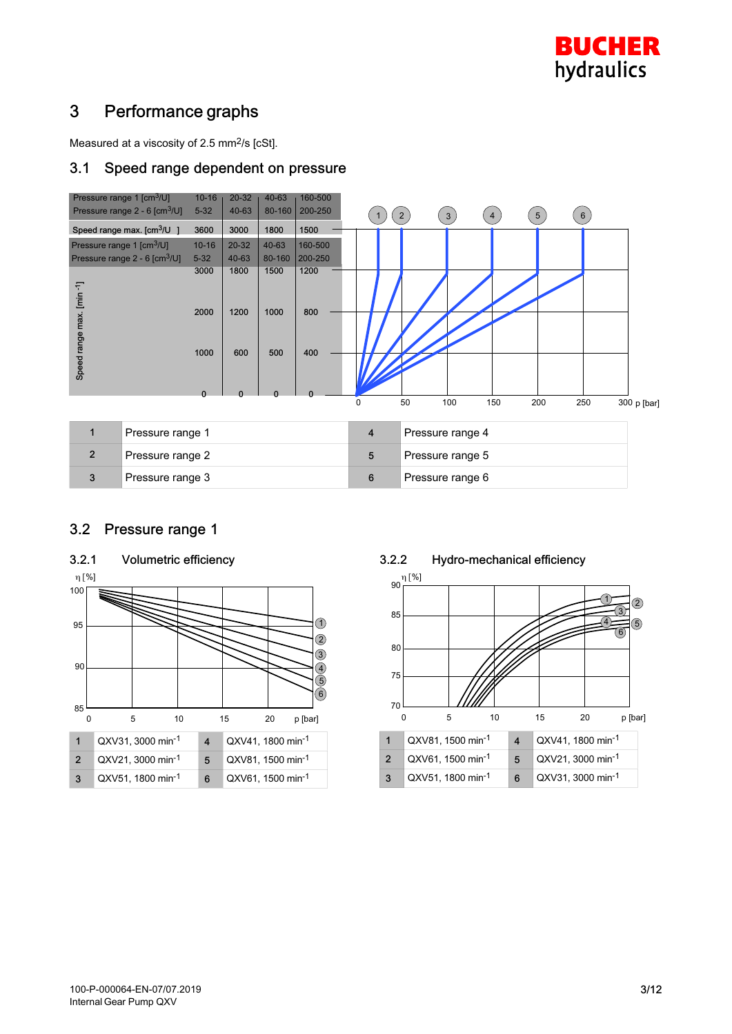

## 3 Performance graphs

Measured at a viscosity of 2.5 mm2/s [cSt].

#### 3.1 Speed range dependent on pressure



| Pressure range 1 |   | Pressure range 4 |
|------------------|---|------------------|
| Pressure range 2 | b | Pressure range 5 |
| Pressure range 3 |   | Pressure range 6 |

#### 3.2 Pressure range 1



#### 3.2.2 Hydro-mechanical efficiency

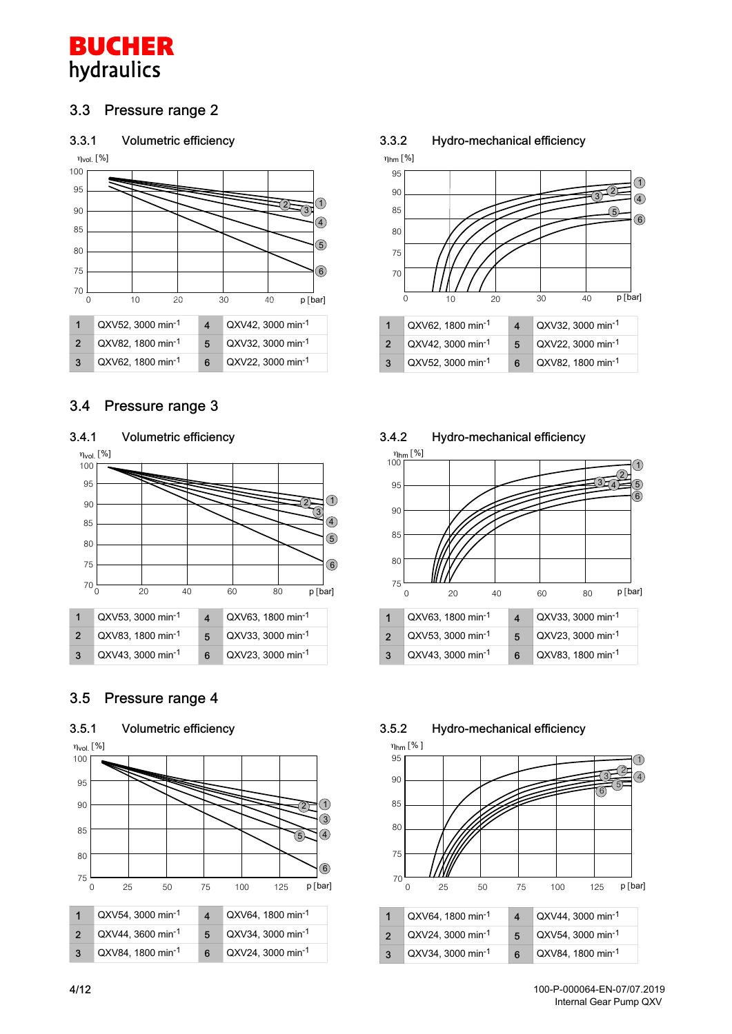**BUCHER** hydraulics

#### 3.3 Pressure range 2

#### 3.3.1 Volumetric efficiency



#### 3.4 Pressure range 3



| QXV53, 3000 min-1              |   | QXV63, 1800 min-1 |
|--------------------------------|---|-------------------|
| <sup>1</sup> QXV83, 1800 min-1 | 5 | QXV33, 3000 min-1 |
| QXV43, 3000 min-1              | 6 | QXV23, 3000 min-1 |

#### 3.5 Pressure range 4



#### 3.3.2 Hydro-mechanical efficiency





#### 3.4.2 Hydro-mechanical efficiency



100-P-000064-EN-07/07.2019 Internal Gear Pump QXV

[/12](#page-11-0)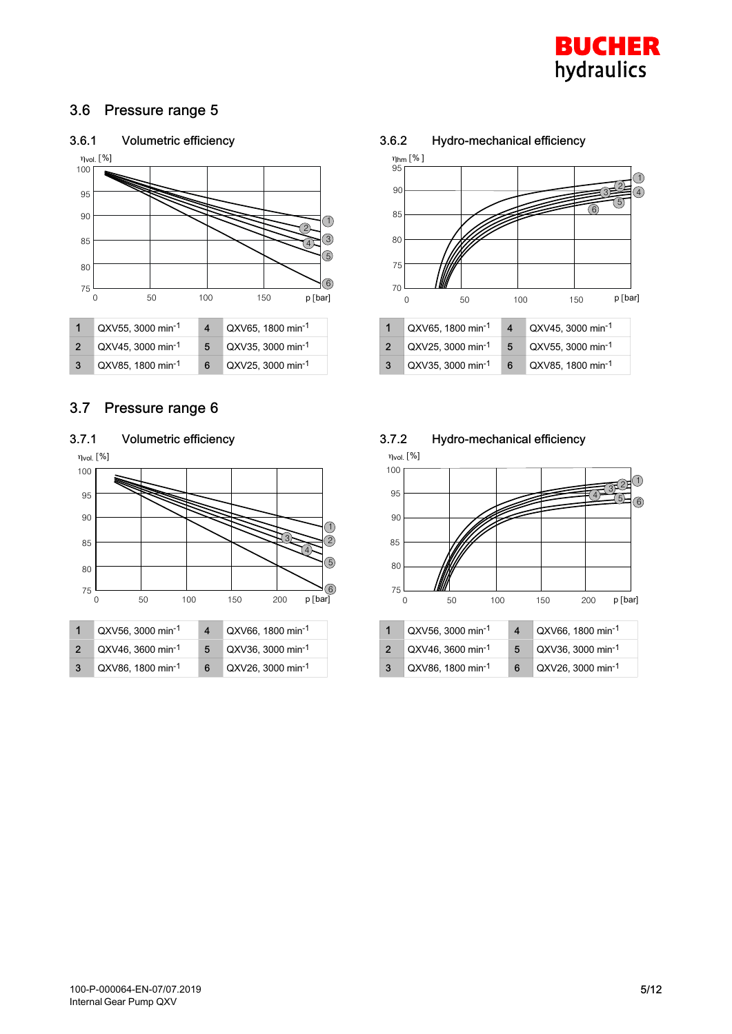

#### 3.6 Pressure range 5





3 QXV85, 1800 min<sup>-1</sup> 6 QXV25, 3000 min<sup>-1</sup>

#### 3.7 Pressure range 6



| QXV56, 3000 min <sup>-1</sup> |   | QXV66, 1800 min <sup>-1</sup> |
|-------------------------------|---|-------------------------------|
| QXV46, 3600 min-1             | 5 | QXV36, 3000 min-1             |
| QXV86, 1800 min-1             | 6 | QXV26, 3000 min-1             |

#### 3.6.2 Hydro-mechanical efficiency



| QXV65, 1800 min-1 |   | QXV45, 3000 min-1             |
|-------------------|---|-------------------------------|
| QXV25, 3000 min-1 | 5 | QXV55, 3000 min-1             |
| QXV35, 3000 min-1 | 6 | QXV85, 1800 min <sup>-1</sup> |

#### 3.7.2 Hydro-mechanical efficiency



|    | <sup>1</sup> QXV56, 3000 min <sup>-1</sup> |   | QXV66, 1800 min <sup>-1</sup> |
|----|--------------------------------------------|---|-------------------------------|
|    | <sup>1</sup> QXV46, 3600 min <sup>-1</sup> | 5 | QXV36, 3000 min-1             |
| -3 | QXV86, 1800 min-1                          | 6 | QXV26, 3000 min-1             |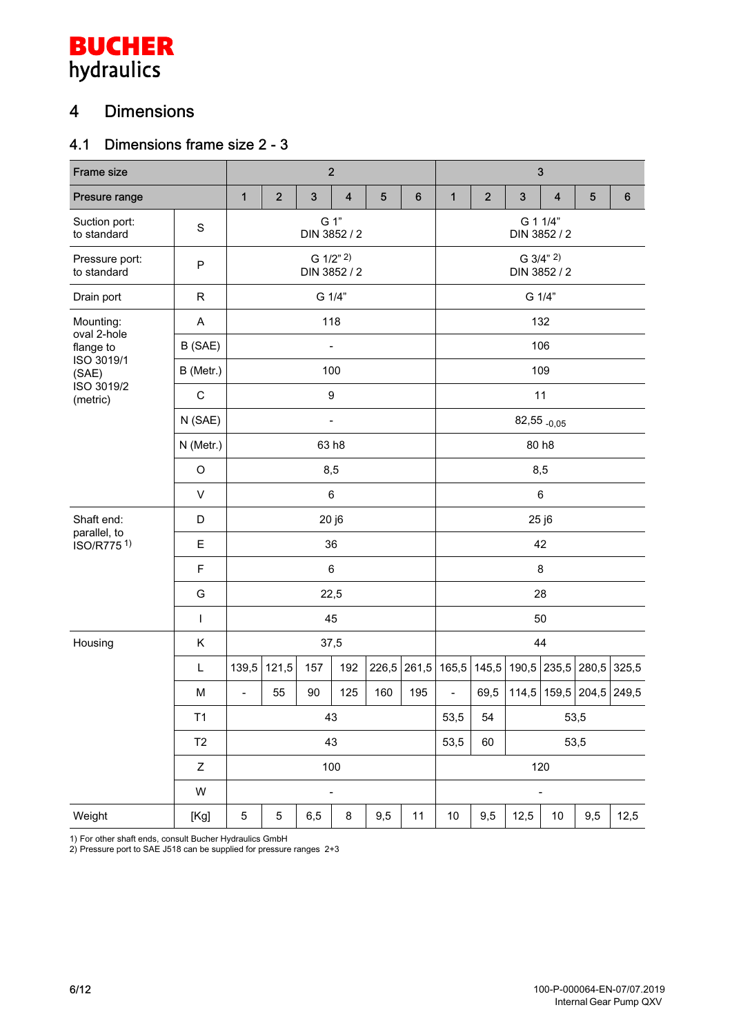# **BUCHER**<br>hydraulics

## 4 Dimensions

## 4.1 Dimensions frame size 2 - 3

| Frame size                    |              |                          |                           | $\overline{2}$ |                              |                 |         | $\mathbf{3}$             |                          |                           |                         |                   |                  |  |
|-------------------------------|--------------|--------------------------|---------------------------|----------------|------------------------------|-----------------|---------|--------------------------|--------------------------|---------------------------|-------------------------|-------------------|------------------|--|
| Presure range                 |              | $\mathbf{1}$             | $\overline{2}$            | 3              | $\overline{\mathbf{4}}$      | $5\phantom{.0}$ | $\bf 6$ | $\mathbf{1}$             | $\overline{2}$           | $\sqrt{3}$                | $\overline{\mathbf{4}}$ | 5                 | $\boldsymbol{6}$ |  |
| Suction port:<br>to standard  | $\mathbf S$  |                          |                           |                | G 1"<br>DIN 3852 / 2         |                 |         |                          | G 1 1/4"<br>DIN 3852 / 2 |                           |                         |                   |                  |  |
| Pressure port:<br>to standard | P            |                          | G 1/2" 2)<br>DIN 3852 / 2 |                |                              |                 |         |                          |                          | G 3/4" 2)<br>DIN 3852 / 2 |                         |                   |                  |  |
| Drain port                    | $\mathsf{R}$ |                          |                           |                | G 1/4"                       |                 |         |                          | G 1/4"                   |                           |                         |                   |                  |  |
| Mounting:                     | A            |                          |                           |                | 118                          |                 |         |                          | 132                      |                           |                         |                   |                  |  |
| oval 2-hole<br>flange to      | B (SAE)      |                          |                           |                | $\qquad \qquad \blacksquare$ |                 |         |                          |                          |                           | 106                     |                   |                  |  |
| ISO 3019/1<br>(SAE)           | B (Metr.)    | 100                      |                           |                |                              |                 |         |                          |                          |                           | 109                     |                   |                  |  |
| ISO 3019/2<br>(metric)        | $\mathsf C$  |                          |                           |                | 9                            |                 |         |                          |                          |                           | 11                      |                   |                  |  |
|                               | N (SAE)      |                          |                           |                | -                            |                 |         | $82,55$ <sub>-0,05</sub> |                          |                           |                         |                   |                  |  |
|                               | N (Metr.)    |                          |                           |                | 63 h8                        |                 | 80 h8   |                          |                          |                           |                         |                   |                  |  |
|                               | O            | 8,5                      |                           |                |                              |                 |         |                          | 8,5                      |                           |                         |                   |                  |  |
|                               | $\vee$       |                          |                           |                | 6                            |                 |         | $\,6$                    |                          |                           |                         |                   |                  |  |
| Shaft end:                    | D            | 20 j6                    |                           |                |                              |                 |         |                          |                          |                           | 25 j6                   |                   |                  |  |
| parallel, to<br>ISO/R7751)    | E            |                          |                           |                | 36                           |                 |         |                          | 42                       |                           |                         |                   |                  |  |
|                               | F            |                          |                           |                | 6                            |                 |         | 8                        |                          |                           |                         |                   |                  |  |
|                               | G            |                          |                           |                | 22,5                         |                 |         | 28                       |                          |                           |                         |                   |                  |  |
|                               | T            |                          |                           |                | 45                           |                 |         |                          |                          |                           | 50                      |                   |                  |  |
| Housing                       | Κ            |                          |                           |                | 37,5                         |                 |         |                          |                          |                           | 44                      |                   |                  |  |
|                               | L            | 139,5                    | 121,5                     | 157            | 192                          | 226,5           | 261,5   | 165,5                    | 145,5                    | 190,5                     | 235,5                   | 280,5             | 325,5            |  |
|                               | M            | $\overline{\phantom{a}}$ | 55                        | 90             | 125                          | 160             | 195     | $\overline{\phantom{0}}$ | 69,5                     | 114,5                     |                         | 159,5 204,5 249,5 |                  |  |
|                               | T1           |                          |                           |                | 43                           |                 |         | 53,5                     | 53,5<br>54               |                           |                         |                   |                  |  |
|                               | T2           | 43                       |                           |                |                              |                 |         |                          | 53,5<br>60<br>53,5       |                           |                         |                   |                  |  |
|                               | Z            |                          |                           |                | 100                          |                 |         | 120                      |                          |                           |                         |                   |                  |  |
|                               | W            |                          |                           |                | $\qquad \qquad \blacksquare$ |                 |         |                          |                          |                           | $\overline{a}$          |                   |                  |  |
| Weight                        | [Kg]         | 5                        | 5                         | 6,5            | 8                            | 9,5             | 11      | $10$                     | 9,5                      | 12,5                      | 10                      | 9,5               | 12,5             |  |

1) For other shaft ends, consult Bucher Hydraulics GmbH

2) Pressure port to SAE J518 can be supplied for pressure ranges 2+3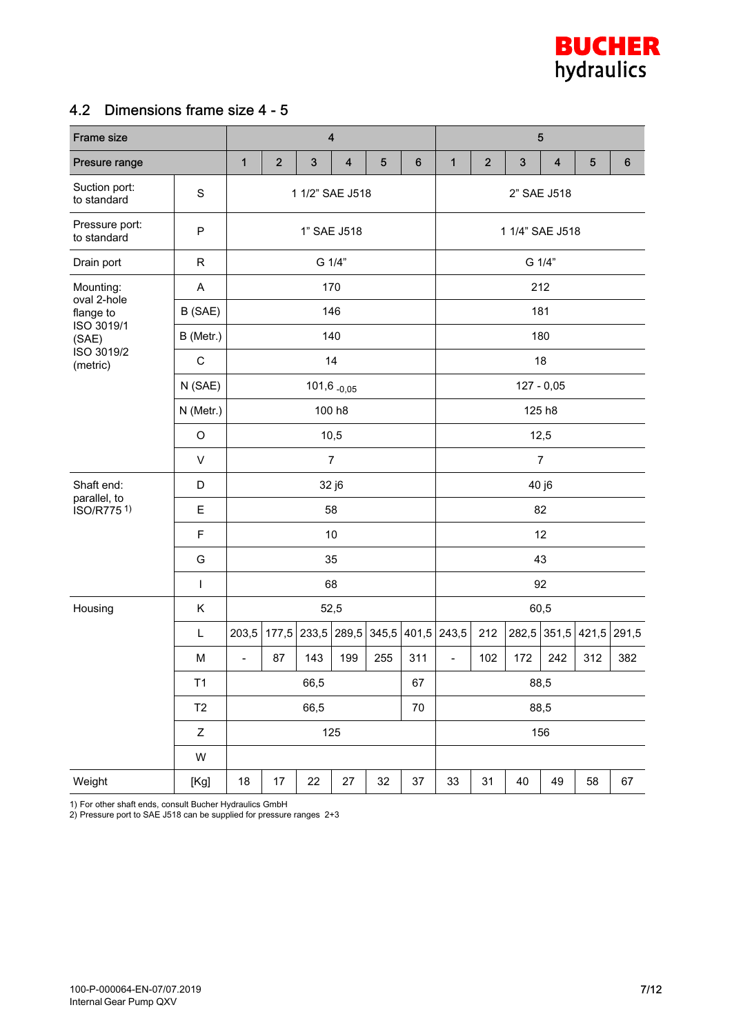

#### 4.2 Dimensions frame size 4 - 5

| Frame size                    |                | $\overline{\mathbf{4}}$      |                |                 |                          |         |        |                          | 5           |                 |                         |         |         |  |  |
|-------------------------------|----------------|------------------------------|----------------|-----------------|--------------------------|---------|--------|--------------------------|-------------|-----------------|-------------------------|---------|---------|--|--|
| Presure range                 |                | 1                            | $\overline{2}$ | $\sqrt{3}$      | $\overline{\mathbf{4}}$  | $\bf 5$ | 6      | $\mathbf{1}$             | $\mathbf 2$ | $\mathbf{3}$    | $\overline{\mathbf{4}}$ | $\bf 5$ | $\bf 6$ |  |  |
| Suction port:<br>to standard  | $\mathbf S$    |                              |                | 1 1/2" SAE J518 |                          |         |        | 2" SAE J518              |             |                 |                         |         |         |  |  |
| Pressure port:<br>to standard | P              |                              | 1" SAE J518    |                 |                          |         |        |                          |             | 1 1/4" SAE J518 |                         |         |         |  |  |
| Drain port                    | $\mathsf{R}$   |                              | G 1/4"         |                 |                          |         |        |                          |             | G 1/4"          |                         |         |         |  |  |
| Mounting:                     | A              | 170                          |                |                 |                          |         |        |                          | 212         |                 |                         |         |         |  |  |
| oval 2-hole<br>flange to      | B (SAE)        |                              |                |                 | 146                      |         |        |                          |             | 181             |                         |         |         |  |  |
| ISO 3019/1<br>(SAE)           | B (Metr.)      |                              |                |                 | 140                      |         |        |                          |             | 180             |                         |         |         |  |  |
| ISO 3019/2<br>(metric)        | $\mathbf C$    |                              |                |                 | 14                       |         |        |                          |             |                 | 18                      |         |         |  |  |
|                               | N (SAE)        |                              |                |                 | $101,6$ <sub>-0,05</sub> |         |        |                          |             |                 | $127 - 0,05$            |         |         |  |  |
|                               | N (Metr.)      |                              |                |                 | 100 h8                   |         | 125 h8 |                          |             |                 |                         |         |         |  |  |
|                               | $\circ$        | 10,5                         |                |                 |                          |         |        |                          | 12,5        |                 |                         |         |         |  |  |
|                               | $\mathsf{V}$   | $\overline{7}$               |                |                 |                          |         |        | $\overline{7}$           |             |                 |                         |         |         |  |  |
| Shaft end:                    | D              | 32 j6                        |                |                 |                          |         |        |                          |             |                 | 40 j6                   |         |         |  |  |
| parallel, to<br>ISO/R7751)    | E              |                              |                |                 | 58                       |         |        | 82                       |             |                 |                         |         |         |  |  |
|                               | $\mathsf F$    |                              |                |                 | 10                       |         |        | 12                       |             |                 |                         |         |         |  |  |
|                               | G              |                              |                |                 | 35                       |         |        | 43                       |             |                 |                         |         |         |  |  |
|                               | L              |                              |                |                 | 68                       |         |        | 92                       |             |                 |                         |         |         |  |  |
| Housing                       | Κ              |                              |                |                 | 52,5                     |         |        |                          |             |                 | 60,5                    |         |         |  |  |
|                               | L              | 203,5                        |                | 177,5 233,5     | 289,5                    | 345,5   |        | 401,5 243,5              | 212         | 282,5           | 351,5                   | 421,5   | 291,5   |  |  |
|                               | M              | $\qquad \qquad \blacksquare$ | 87             | 143             | 199                      | 255     | 311    | $\overline{\phantom{a}}$ | 102         | 172             | 242                     | 312     | 382     |  |  |
|                               | T1             |                              |                | 66,5            |                          |         | 67     |                          |             |                 | 88,5                    |         |         |  |  |
|                               | T <sub>2</sub> |                              |                | 66,5            |                          |         | $70\,$ | 88,5                     |             |                 |                         |         |         |  |  |
|                               | Z              |                              |                |                 | 125                      |         |        | 156                      |             |                 |                         |         |         |  |  |
|                               | W              |                              |                |                 |                          |         |        |                          |             |                 |                         |         |         |  |  |
| Weight                        | [Kg]           | 18                           | 17             | 22              | 27                       | 32      | $37\,$ | 33                       | 31          | 40              | 49                      | 58      | 67      |  |  |

1) For other shaft ends, consult Bucher Hydraulics GmbH

2) Pressure port to SAE J518 can be supplied for pressure ranges 2+3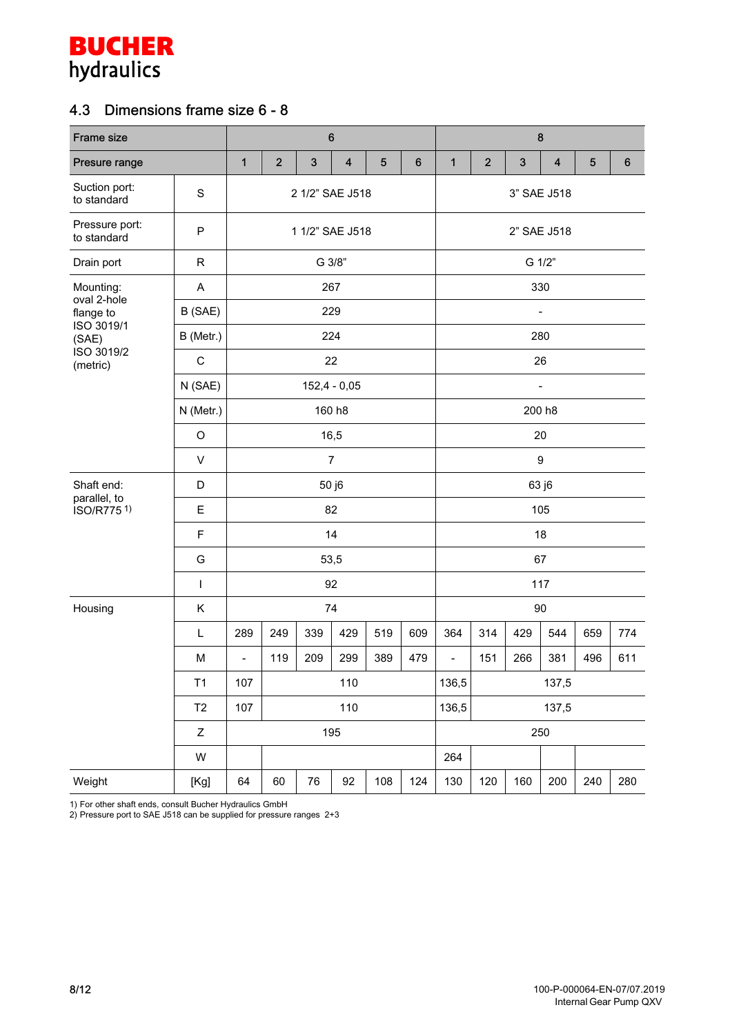

### 4.3 Dimensions frame size 6 - 8

| Frame size                    |                | $\bf 6$        |                 |            |                         |            |         |                          | $\bf 8$     |                |                         |     |                  |  |
|-------------------------------|----------------|----------------|-----------------|------------|-------------------------|------------|---------|--------------------------|-------------|----------------|-------------------------|-----|------------------|--|
| Presure range                 |                | 1              | $\overline{2}$  | $\sqrt{3}$ | $\overline{\mathbf{4}}$ | $\sqrt{5}$ | $\bf 6$ | $\mathbf{1}$             | $\mathbf 2$ | $\sqrt{3}$     | $\overline{\mathbf{4}}$ | 5   | $\boldsymbol{6}$ |  |
| Suction port:<br>to standard  | $\mathbb S$    |                |                 |            | 2 1/2" SAE J518         |            |         |                          | 3" SAE J518 |                |                         |     |                  |  |
| Pressure port:<br>to standard | ${\sf P}$      |                | 1 1/2" SAE J518 |            |                         |            |         |                          |             | 2" SAE J518    |                         |     |                  |  |
| Drain port                    | $\mathsf{R}$   |                | G 3/8"          |            |                         |            |         |                          |             | G 1/2"         |                         |     |                  |  |
| Mounting:<br>oval 2-hole      | A              |                |                 |            | 267                     |            |         | 330                      |             |                |                         |     |                  |  |
| flange to                     | B (SAE)        |                |                 |            | 229                     |            |         |                          |             | $\overline{a}$ |                         |     |                  |  |
| ISO 3019/1<br>(SAE)           | B (Metr.)      |                |                 |            | 224                     |            |         |                          |             |                | 280                     |     |                  |  |
| ISO 3019/2<br>(metric)        | $\mathbf C$    |                |                 |            | 22                      |            |         |                          |             |                | 26                      |     |                  |  |
|                               | N (SAE)        |                |                 |            | $152,4 - 0,05$          |            |         |                          |             |                | $\overline{a}$          |     |                  |  |
|                               | N (Metr.)      |                |                 |            | 160 h8                  |            |         | 200 h8                   |             |                |                         |     |                  |  |
|                               | $\circ$        |                |                 |            | 16,5                    |            |         |                          | 20          |                |                         |     |                  |  |
|                               | $\mathsf{V}$   |                |                 |            | $\overline{7}$          |            |         |                          | 9           |                |                         |     |                  |  |
| Shaft end:                    | D              | 50 j6          |                 |            |                         |            |         |                          |             |                | 63 j6                   |     |                  |  |
| parallel, to<br>ISO/R7751)    | E              |                |                 |            | 82                      |            |         |                          | 105         |                |                         |     |                  |  |
|                               | $\mathsf F$    |                |                 |            | 14                      |            |         | 18                       |             |                |                         |     |                  |  |
|                               | G              |                |                 |            | 53,5                    |            |         | 67                       |             |                |                         |     |                  |  |
|                               | $\mathbf{I}$   |                |                 |            | 92                      |            |         | 117                      |             |                |                         |     |                  |  |
| Housing                       | Κ              |                |                 |            | 74                      |            |         |                          |             |                | 90                      |     |                  |  |
|                               | L              | 289            | 249             | 339        | 429                     | 519        | 609     | 364                      | 314         | 429            | 544                     | 659 | 774              |  |
|                               | M              | $\blacksquare$ | 119             | 209        | 299                     | 389        | 479     | $\overline{\phantom{a}}$ | 151         | 266            | 381                     | 496 | 611              |  |
|                               | T1             | 107            |                 |            | 110                     |            |         | 136,5                    | 137,5       |                |                         |     |                  |  |
|                               | T <sub>2</sub> | 107            |                 |            | 110                     |            |         | 136,5                    | 137,5       |                |                         |     |                  |  |
|                               | $\mathsf Z$    |                |                 |            | 195                     |            |         | 250                      |             |                |                         |     |                  |  |
|                               | W              |                |                 |            |                         |            |         | 264                      |             |                |                         |     |                  |  |
| Weight                        | [Kg]           | 64             | 60              | 76         | 92                      | 108        | 124     | 130                      | 120         | 160            | 200                     | 240 | 280              |  |

1) For other shaft ends, consult Bucher Hydraulics GmbH

2) Pressure port to SAE J518 can be supplied for pressure ranges 2+3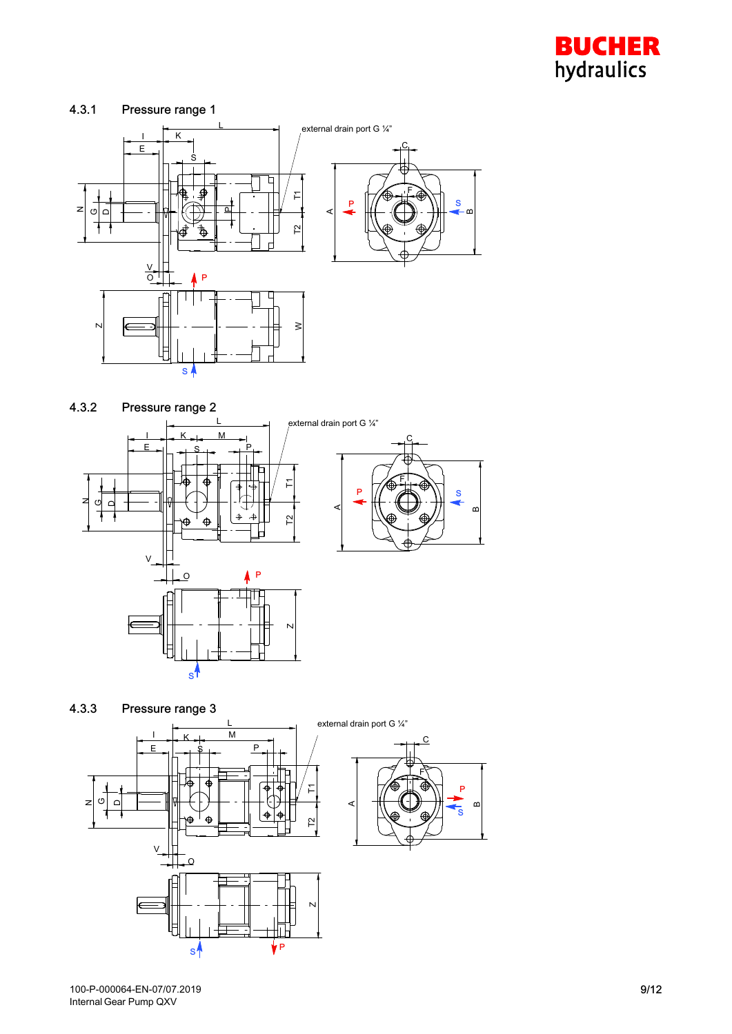

#### 4.3.1 Pressure range 1





4.3.3 Pressure range 3 external drain port G ¼"L  $K + M$ I C P  $E = S$ F θ T1  $\mathcal{C}^{\mathcal{C}}$ Dz A  $\bigoplus$ T2 V ┡ O N

s<sup>1</sup>

<sub>n</sub>

P

S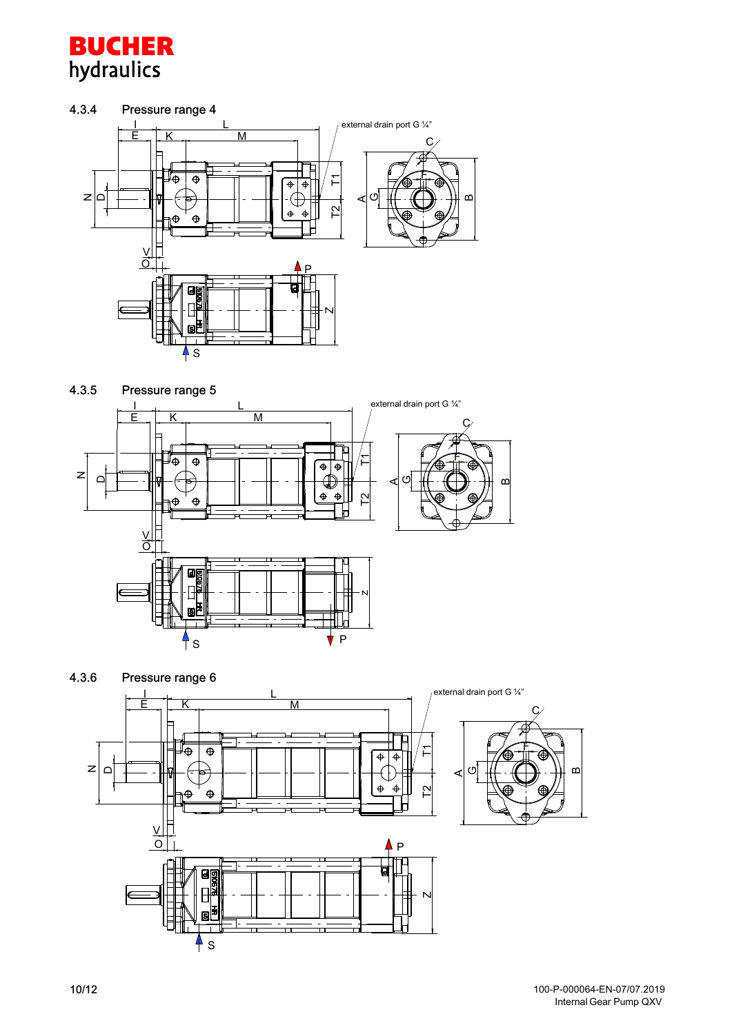

#### 4.3.4 Pressure range 4



4.3.5 Pressure range 5 external drain port G 1/4" I L  $\overline{\mathsf{k}}$ M E C F ⊥⊕  $\overline{\oplus}$ ۲  $\overline{\bullet}$  $\overline{\Phi}$ z  $\Box$ G $\alpha$ A  $\ddot{\Phi}$  $\ddot{\Phi}$  $\hat{\mathbf{\Theta}}$  $\hat{\Theta}$  $\mathop{\mathbb{P}}$ V  $\overline{\circ}$ N ↰ S VP



100-P-000064-EN-07/07.2019 Internal Gear Pump QXV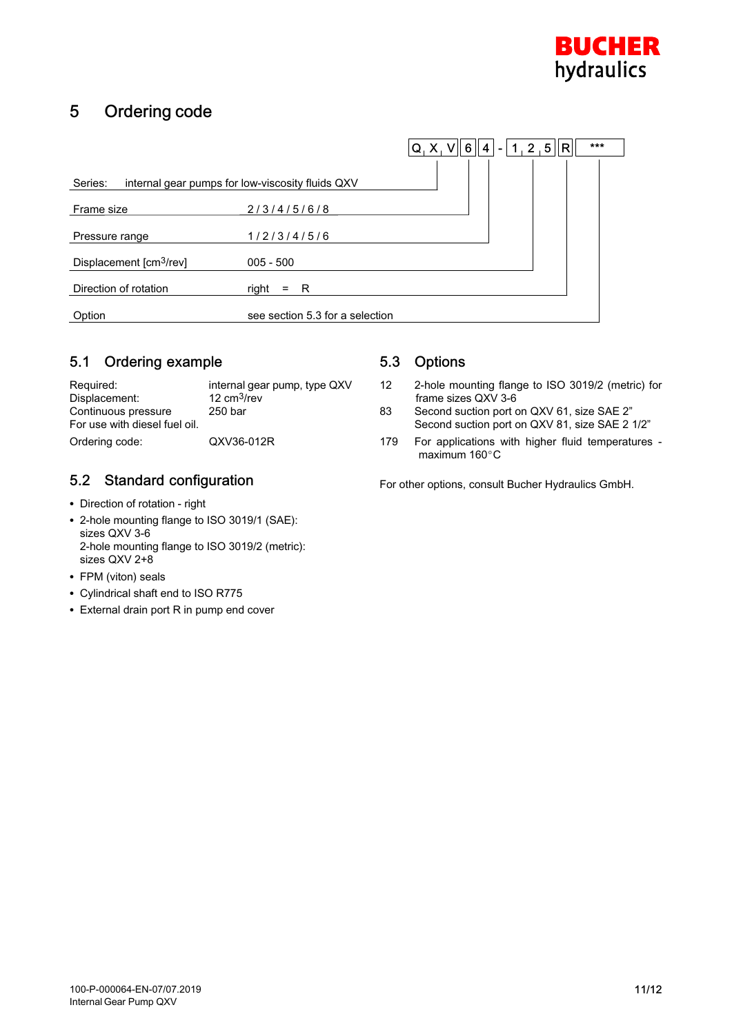

## 5 Ordering code

|                                                             |                                 | ***<br>$Q_1 X_2 V    6    4   $<br>$1, 2, 5$ $ R $<br>$\sim$ |  |
|-------------------------------------------------------------|---------------------------------|--------------------------------------------------------------|--|
| Series:<br>internal gear pumps for low-viscosity fluids QXV |                                 |                                                              |  |
| Frame size                                                  | 2/3/4/5/6/8                     |                                                              |  |
| Pressure range                                              | 1/2/3/4/5/6                     |                                                              |  |
| Displacement [cm <sup>3</sup> /rev]                         | $005 - 500$                     |                                                              |  |
| Direction of rotation                                       | right<br>- R<br>$\equiv$        |                                                              |  |
| Option                                                      | see section 5.3 for a selection |                                                              |  |

#### 5.1 Ordering example

| Required:                     | internal gear pump, type QXV |
|-------------------------------|------------------------------|
| Displacement:                 | 12 $cm3/rev$                 |
| Continuous pressure           | 250 bar                      |
| For use with diesel fuel oil. |                              |
| Ordering code:                | QXV36-012R                   |

#### 5.2 Standard configuration

- Direction of rotation right
- 2-hole mounting flange to ISO 3019/1 (SAE): sizes QXV 3-6 2-hole mounting flange to ISO 3019/2 (metric): sizes QXV 2+8
- FPM (viton) seals
- Cylindrical shaft end to ISO R775
- External drain port R in pump end cover

#### 5.3 Options

- 12 2-hole mounting flange to ISO 3019/2 (metric) for frame sizes QXV 3-6<br>83 Second suction port of
- Second suction port on QXV 61, size SAE 2" Second suction port on QXV 81, size SAE 2 1/2"
- 179 For applications with higher fluid temperatures maximum 160°C

For other options, consult Bucher Hydraulics GmbH.